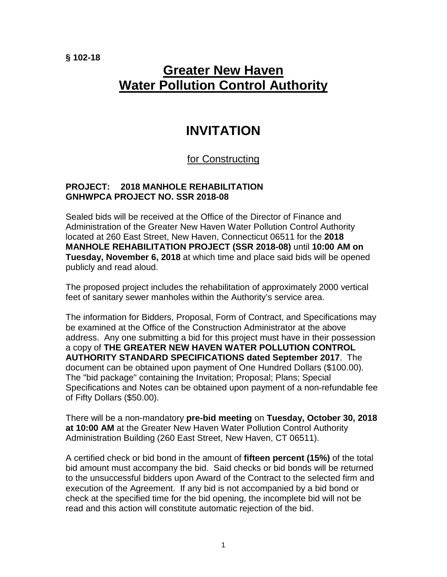**§ 102-18**

## **Greater New Haven Water Pollution Control Authority**

## **INVITATION**

## for Constructing

## **PROJECT: 2018 MANHOLE REHABILITATION GNHWPCA PROJECT NO. SSR 2018-08**

Sealed bids will be received at the Office of the Director of Finance and Administration of the Greater New Haven Water Pollution Control Authority located at 260 East Street, New Haven, Connecticut 06511 for the **2018 MANHOLE REHABILITATION PROJECT (SSR 2018-08)** until **10:00 AM on Tuesday, November 6, 2018** at which time and place said bids will be opened publicly and read aloud.

The proposed project includes the rehabilitation of approximately 2000 vertical feet of sanitary sewer manholes within the Authority's service area.

The information for Bidders, Proposal, Form of Contract, and Specifications may be examined at the Office of the Construction Administrator at the above address. Any one submitting a bid for this project must have in their possession a copy of **THE GREATER NEW HAVEN WATER POLLUTION CONTROL AUTHORITY STANDARD SPECIFICATIONS dated September 2017**. The document can be obtained upon payment of One Hundred Dollars (\$100.00). The "bid package" containing the Invitation; Proposal; Plans; Special Specifications and Notes can be obtained upon payment of a non-refundable fee of Fifty Dollars (\$50.00).

There will be a non-mandatory **pre-bid meeting** on **Tuesday, October 30, 2018 at 10:00 AM** at the Greater New Haven Water Pollution Control Authority Administration Building (260 East Street, New Haven, CT 06511).

A certified check or bid bond in the amount of **fifteen percent (15%)** of the total bid amount must accompany the bid. Said checks or bid bonds will be returned to the unsuccessful bidders upon Award of the Contract to the selected firm and execution of the Agreement. If any bid is not accompanied by a bid bond or check at the specified time for the bid opening, the incomplete bid will not be read and this action will constitute automatic rejection of the bid.